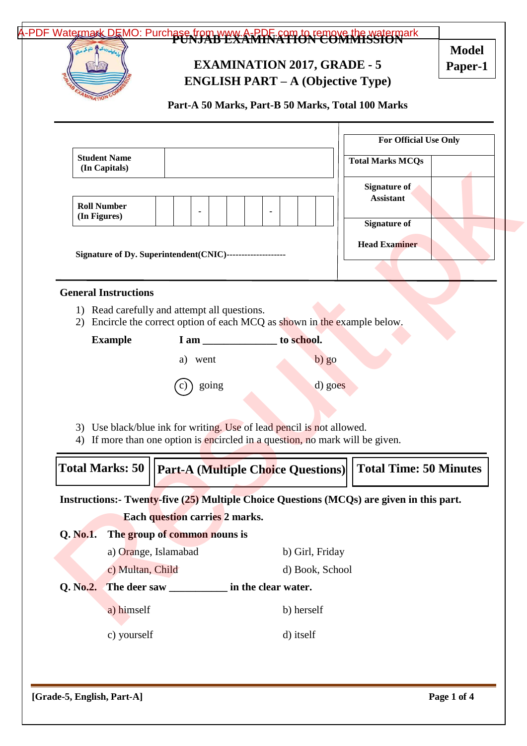# [A-PDF Watermark DEMO: Purchase from www.A-PDF.com to remove the watermark](http://www.a-pdf.com/?wm-demo) **EXAMINATION 2017, GRADE - 5 ENGLISH PART – A (Objective Type) Part-A 50 Marks, Part-B 50 Marks, Total 100 Marks Student Name (In Capitals) Roll Number For Official Use Only Total Marks MCQs Signature of Assistant Model Paper-1**

- 3) Use black/blue ink for writing. Use of lead pencil is not allowed.
- 4) If more than one option is encircled in a question, no mark will be given.

| Total Marks: 50   Part-A (Multiple Choice Questions)  Total Time: 50 Minutes |  |
|------------------------------------------------------------------------------|--|
|                                                                              |  |

| <b>Student Name</b><br>(In Capitals)                                                                                                                      |                                                                                                                        |                                           | <b>Total Marks MCQs</b>                                                                  |  |  |  |
|-----------------------------------------------------------------------------------------------------------------------------------------------------------|------------------------------------------------------------------------------------------------------------------------|-------------------------------------------|------------------------------------------------------------------------------------------|--|--|--|
| <b>Roll Number</b><br>(In Figures)                                                                                                                        | Signature of Dy. Superintendent(CNIC)--------------------                                                              |                                           | <b>Signature of</b><br><b>Assistant</b><br><b>Signature of</b><br><b>Head Examiner</b>   |  |  |  |
| <b>General Instructions</b>                                                                                                                               |                                                                                                                        |                                           |                                                                                          |  |  |  |
| 2)                                                                                                                                                        | 1) Read carefully and attempt all questions.<br>Encircle the correct option of each MCQ as shown in the example below. |                                           |                                                                                          |  |  |  |
| <b>Example</b>                                                                                                                                            | I am                                                                                                                   | to school.                                |                                                                                          |  |  |  |
|                                                                                                                                                           | a)<br>went                                                                                                             | $b)$ go                                   |                                                                                          |  |  |  |
| going<br>d) goes                                                                                                                                          |                                                                                                                        |                                           |                                                                                          |  |  |  |
| 3) Use black/blue ink for writing. Use of lead pencil is not allowed.<br>If more than one option is encircled in a question, no mark will be given.<br>4) |                                                                                                                        |                                           |                                                                                          |  |  |  |
| <b>Total Marks: 50</b>                                                                                                                                    |                                                                                                                        | <b>Part-A (Multiple Choice Questions)</b> | <b>Total Time: 50 Minutes</b>                                                            |  |  |  |
|                                                                                                                                                           |                                                                                                                        |                                           | Instructions:- Twenty-five (25) Multiple Choice Questions (MCQs) are given in this part. |  |  |  |
|                                                                                                                                                           | <b>Each question carries 2 marks.</b>                                                                                  |                                           |                                                                                          |  |  |  |
| $Q.$ No.1.                                                                                                                                                | The group of common nouns is                                                                                           |                                           |                                                                                          |  |  |  |
|                                                                                                                                                           | a) Orange, Islamabad                                                                                                   | b) Girl, Friday                           |                                                                                          |  |  |  |
| c) Multan, Child                                                                                                                                          |                                                                                                                        | d) Book, School                           |                                                                                          |  |  |  |
| Q. No.2.<br>The deer saw _____________ in the clear water.                                                                                                |                                                                                                                        |                                           |                                                                                          |  |  |  |
| a) himself                                                                                                                                                |                                                                                                                        | b) herself                                |                                                                                          |  |  |  |

c) yourself d) itself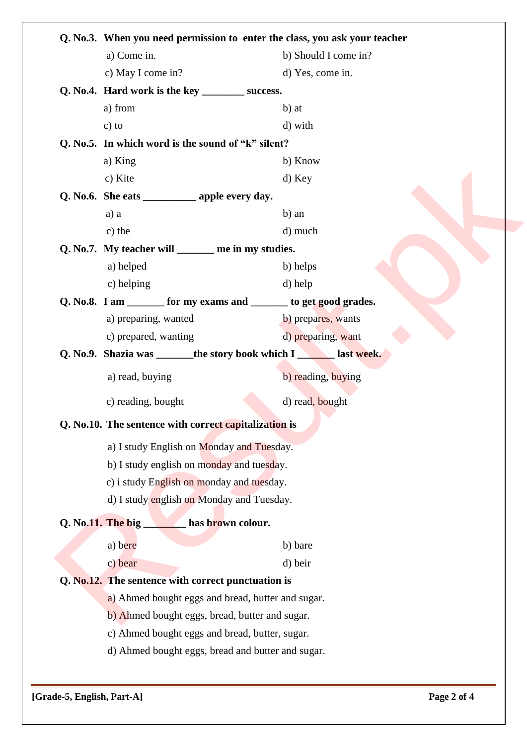| Q. No.3. When you need permission to enter the class, you ask your teacher                           |  |  |  |  |  |
|------------------------------------------------------------------------------------------------------|--|--|--|--|--|
| a) Come in.<br>b) Should I come in?                                                                  |  |  |  |  |  |
| d) Yes, come in.<br>c) May I come in?                                                                |  |  |  |  |  |
| Q. No.4. Hard work is the key ___________ success.                                                   |  |  |  |  |  |
| a) from<br>b) at                                                                                     |  |  |  |  |  |
| $c)$ to<br>d) with                                                                                   |  |  |  |  |  |
| Q. No.5. In which word is the sound of "k" silent?                                                   |  |  |  |  |  |
| a) King<br>b) Know                                                                                   |  |  |  |  |  |
| c) Kite<br>d) Key                                                                                    |  |  |  |  |  |
| Q. No.6. She eats $\_\_\_\_\_\_$ apple every day.                                                    |  |  |  |  |  |
| b) an<br>a) a                                                                                        |  |  |  |  |  |
| c) the<br>d) much                                                                                    |  |  |  |  |  |
| Q. No.7. My teacher will _______ me in my studies.                                                   |  |  |  |  |  |
| a) helped<br>b) helps                                                                                |  |  |  |  |  |
| d) help<br>c) helping                                                                                |  |  |  |  |  |
| Q. No.8. I am _______ for my exams and _______ to get good grades.                                   |  |  |  |  |  |
| a) preparing, wanted<br>b) prepares, wants                                                           |  |  |  |  |  |
| d) preparing, want<br>c) prepared, wanting                                                           |  |  |  |  |  |
| Q. No.9. Shazia was _______ the story book which I _______ last week.                                |  |  |  |  |  |
| a) read, buying<br>b) reading, buying                                                                |  |  |  |  |  |
| d) read, bought<br>c) reading, bought                                                                |  |  |  |  |  |
| Q. No.10. The sentence with correct capitalization is                                                |  |  |  |  |  |
| a) I study English on Monday and Tuesday.                                                            |  |  |  |  |  |
| b) I study english on monday and tuesday.                                                            |  |  |  |  |  |
| c) i study English on monday and tuesday.                                                            |  |  |  |  |  |
| d) I study english on Monday and Tuesday.                                                            |  |  |  |  |  |
| Q. No.11. The big has brown colour.                                                                  |  |  |  |  |  |
| a) bere<br>b) bare                                                                                   |  |  |  |  |  |
|                                                                                                      |  |  |  |  |  |
| c) bear<br>d) beir                                                                                   |  |  |  |  |  |
|                                                                                                      |  |  |  |  |  |
| a) Ahmed bought eggs and bread, butter and sugar.                                                    |  |  |  |  |  |
| b) Ahmed bought eggs, bread, butter and sugar.                                                       |  |  |  |  |  |
| Q. No.12. The sentence with correct punctuation is<br>c) Ahmed bought eggs and bread, butter, sugar. |  |  |  |  |  |
| d) Ahmed bought eggs, bread and butter and sugar.                                                    |  |  |  |  |  |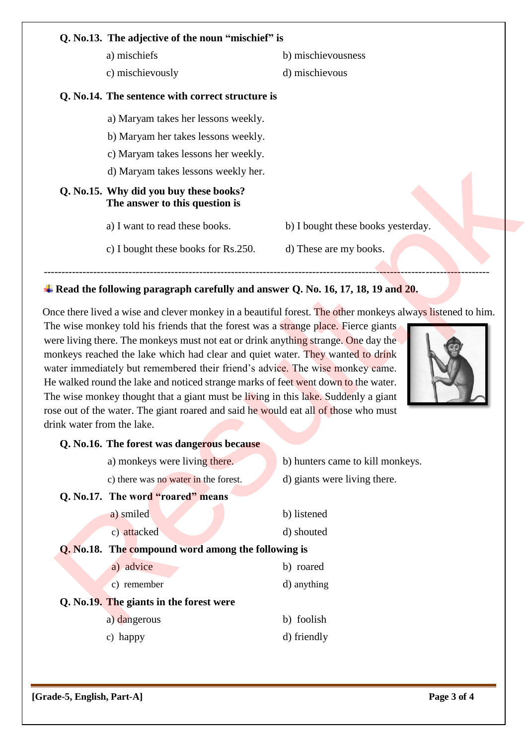| Q. No.13. The adjective of the noun "mischief" is                        |                                    |
|--------------------------------------------------------------------------|------------------------------------|
| a) mischiefs                                                             | b) mischievousness                 |
| c) mischievously                                                         | d) mischievous                     |
| Q. No.14. The sentence with correct structure is                         |                                    |
| a) Maryam takes her lessons weekly.                                      |                                    |
| b) Maryam her takes lessons weekly.                                      |                                    |
| c) Maryam takes lessons her weekly.                                      |                                    |
| d) Maryam takes lessons weekly her.                                      |                                    |
| Q. No.15. Why did you buy these books?<br>The answer to this question is |                                    |
| a) I want to read these books.                                           | b) I bought these books yesterday. |
| c) I bought these books for Rs.250.                                      | d) These are my books.             |

## **Read the following paragraph carefully and answer Q. No. 16, 17, 18, 19 and 20.**



| c) Maryam takes lessons her weekly.                                                                                                                                                                                                                                                                                                                                                                                                                           |                                    |
|---------------------------------------------------------------------------------------------------------------------------------------------------------------------------------------------------------------------------------------------------------------------------------------------------------------------------------------------------------------------------------------------------------------------------------------------------------------|------------------------------------|
| d) Maryam takes lessons weekly her.                                                                                                                                                                                                                                                                                                                                                                                                                           |                                    |
| Q. No.15. Why did you buy these books?<br>The answer to this question is                                                                                                                                                                                                                                                                                                                                                                                      |                                    |
| a) I want to read these books.                                                                                                                                                                                                                                                                                                                                                                                                                                | b) I bought these books yesterday. |
| c) I bought these books for Rs.250.                                                                                                                                                                                                                                                                                                                                                                                                                           | d) These are my books.             |
| Read the following paragraph carefully and answer Q. No. 16, 17, 18, 19 and 20.                                                                                                                                                                                                                                                                                                                                                                               |                                    |
| nonkeys reached the lake which had clear and quiet water. They wanted to drink<br>rater immediately but remembered their friend's advice. The wise monkey came.<br>le walked round the lake and noticed strange marks of feet went down to the water.<br>he wise monkey thought that a giant must be living in this lake. Suddenly a giant<br>ose out of the water. The giant roared and said he would eat all of those who must<br>rink water from the lake. |                                    |
| Q. No.16. The forest was dangerous because                                                                                                                                                                                                                                                                                                                                                                                                                    |                                    |
| a) monkeys were living there.                                                                                                                                                                                                                                                                                                                                                                                                                                 | b) hunters came to kill monkeys.   |
| c) there was no water in the forest.                                                                                                                                                                                                                                                                                                                                                                                                                          | d) giants were living there.       |
| Q. No.17. The word "roared" means                                                                                                                                                                                                                                                                                                                                                                                                                             |                                    |
| a) smiled                                                                                                                                                                                                                                                                                                                                                                                                                                                     | b) listened                        |
| c) attacked                                                                                                                                                                                                                                                                                                                                                                                                                                                   | d) shouted                         |
| <b>Q.</b> No.18. The compound word among the following is                                                                                                                                                                                                                                                                                                                                                                                                     |                                    |
| a) advice                                                                                                                                                                                                                                                                                                                                                                                                                                                     | b) roared                          |
| c) remember                                                                                                                                                                                                                                                                                                                                                                                                                                                   | d) anything                        |
| Q. No.19. The giants in the forest were                                                                                                                                                                                                                                                                                                                                                                                                                       |                                    |
| a) dangerous                                                                                                                                                                                                                                                                                                                                                                                                                                                  | b) foolish                         |
| c) happy                                                                                                                                                                                                                                                                                                                                                                                                                                                      | d) friendly                        |